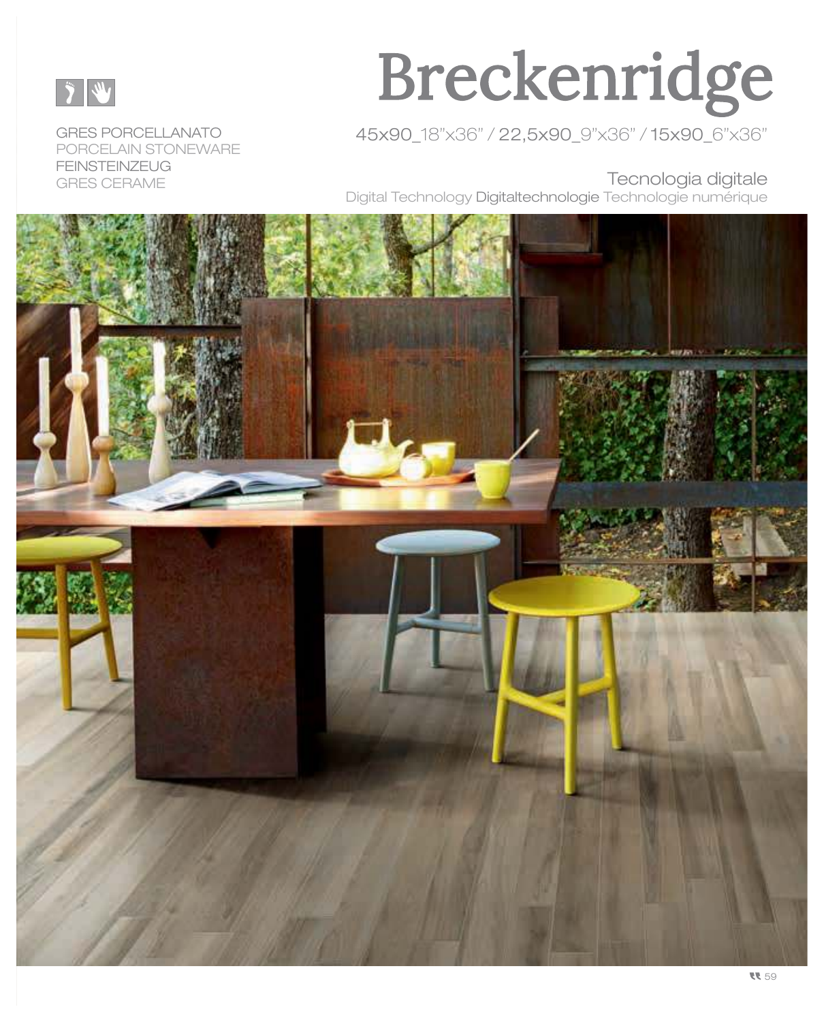

#### PORCELAIN STONEWARE **FEINSTEINZEUG** Terror Envelope and the contraction of the contraction of the contraction of the contraction of the contraction of the contraction of the contraction of the contraction of the contraction of the contraction of the contract

# Breckenridge

GRES PORCELLANATO 45x90\_18"x36" / 22,5x90\_9"x36" / 15x90\_6"x36"

Digital Technology Digitaltechnologie Technologie numérique

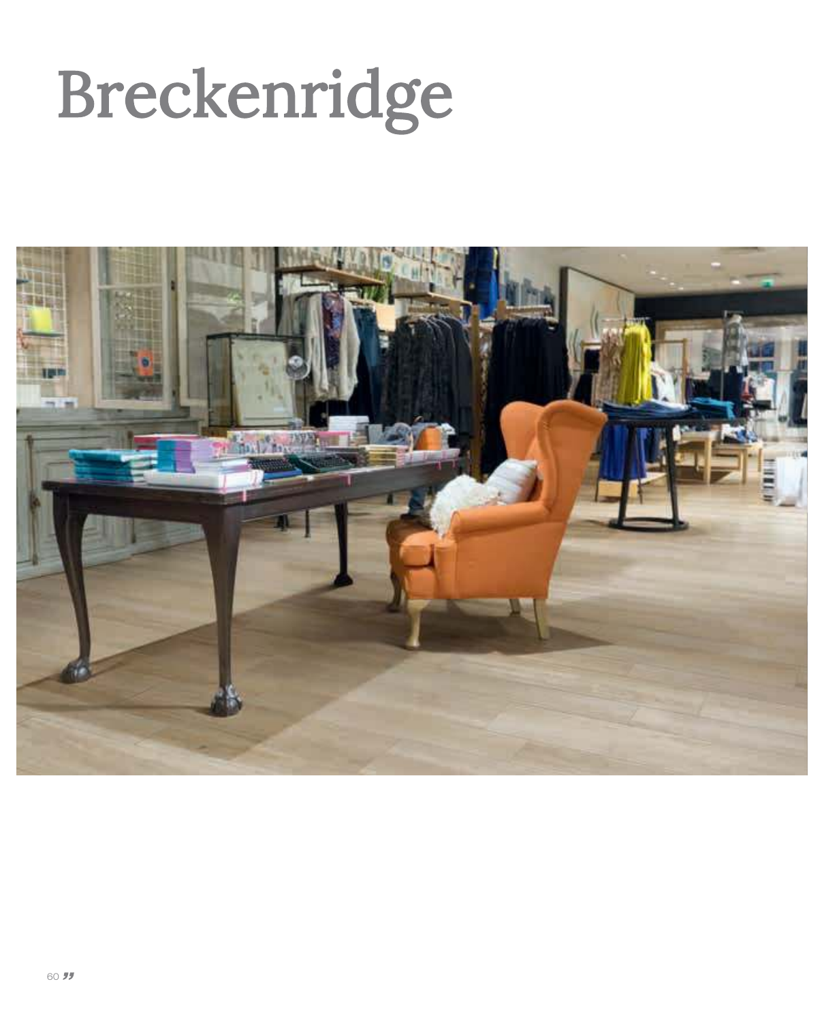# Breckenridge

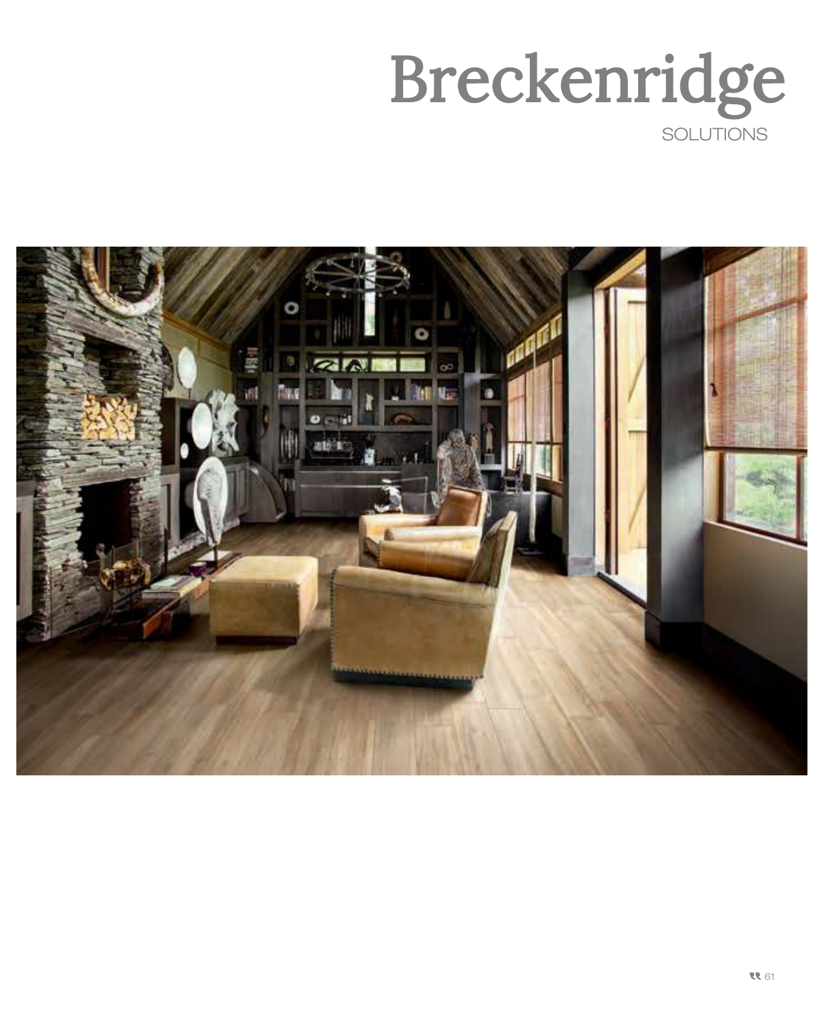![](_page_2_Picture_0.jpeg)

![](_page_2_Picture_1.jpeg)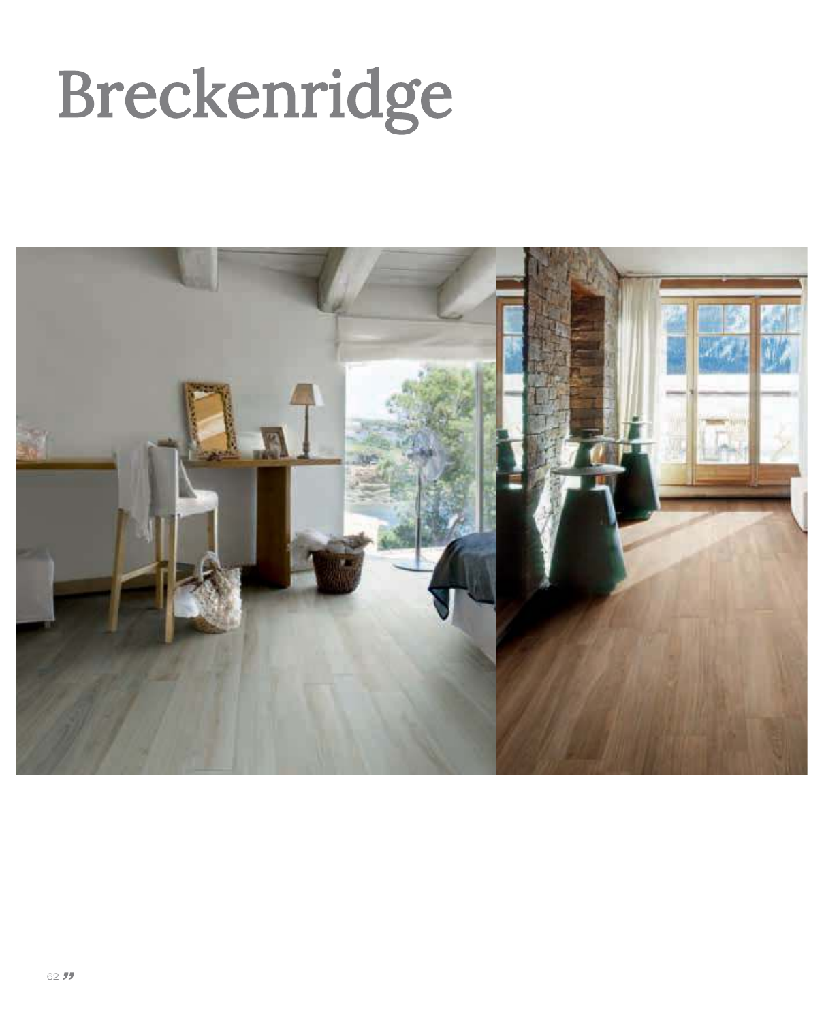# Breckenridge

![](_page_3_Picture_1.jpeg)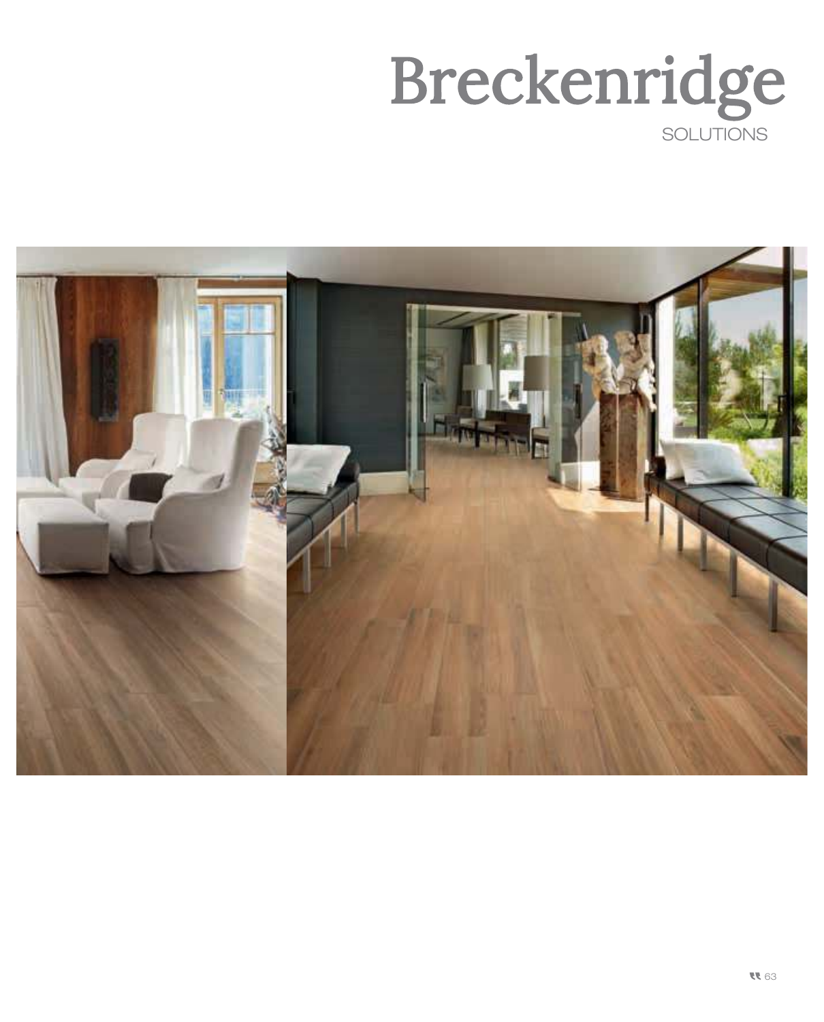![](_page_4_Picture_0.jpeg)

![](_page_4_Picture_1.jpeg)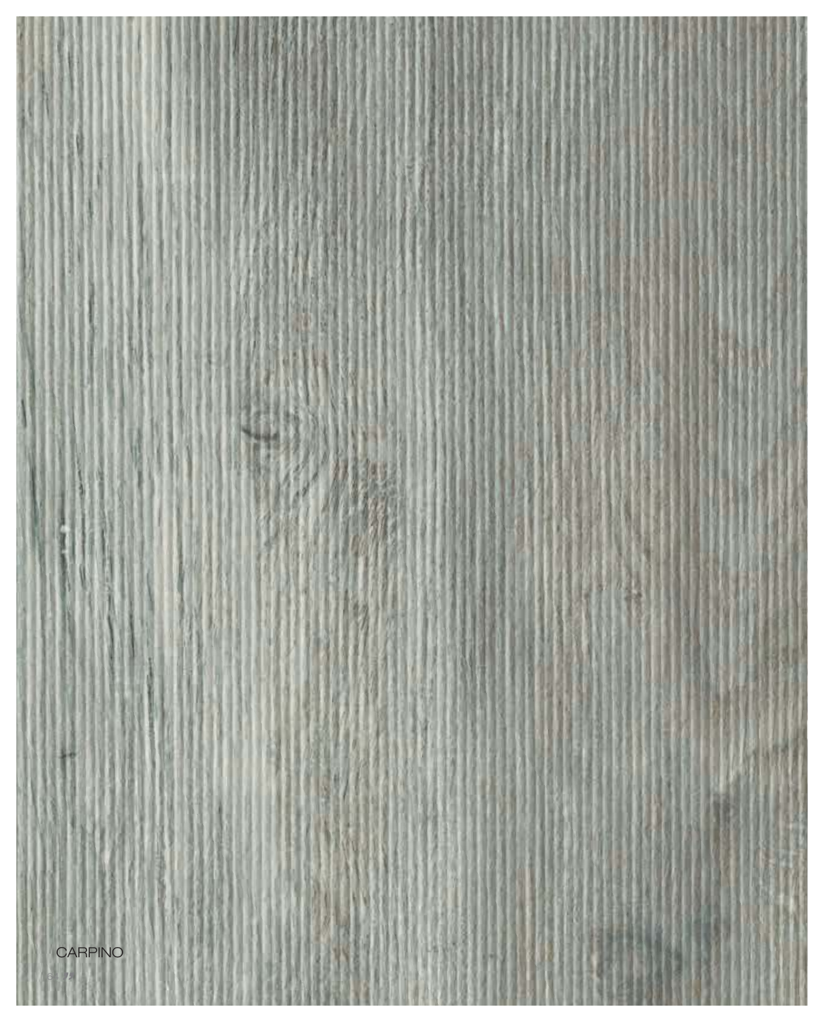64

944

ж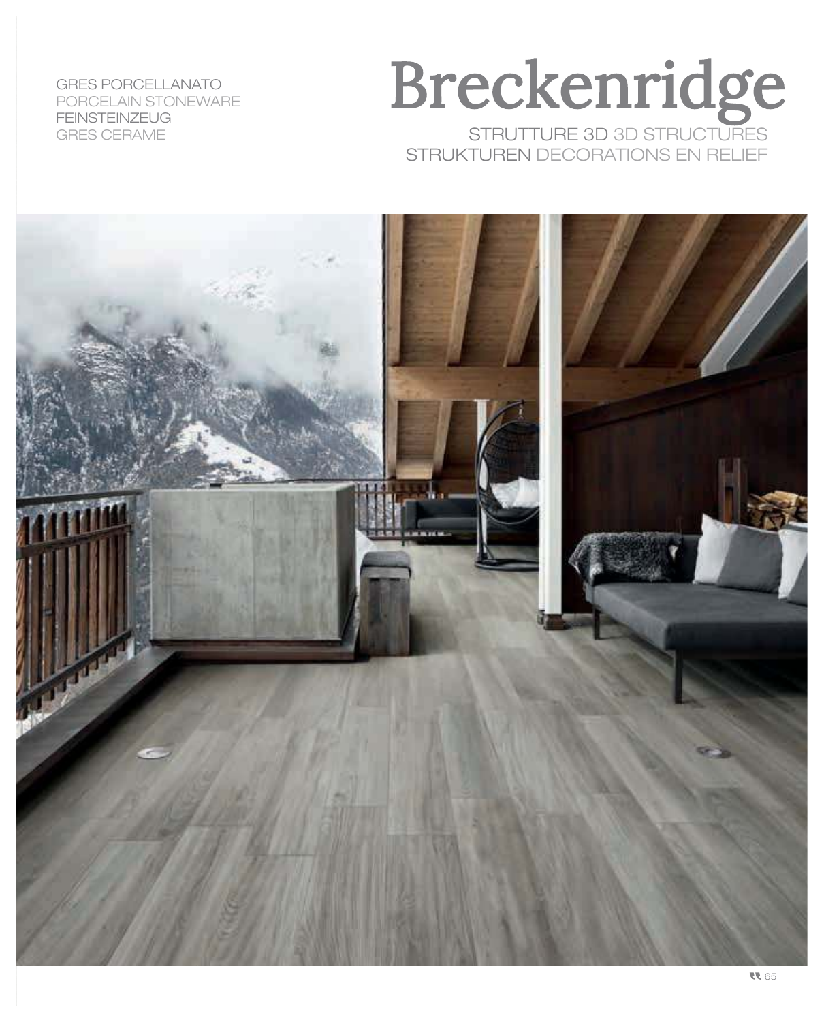GRES PORCELLANATO PORCELAIN STONEWARE FEINSTEINZEUG GRES CERAME

### STRUTTURE 3D 3D STRUCTURES Breckenridge STRUKTUREN DECORATIONS EN RELIEF

![](_page_6_Picture_2.jpeg)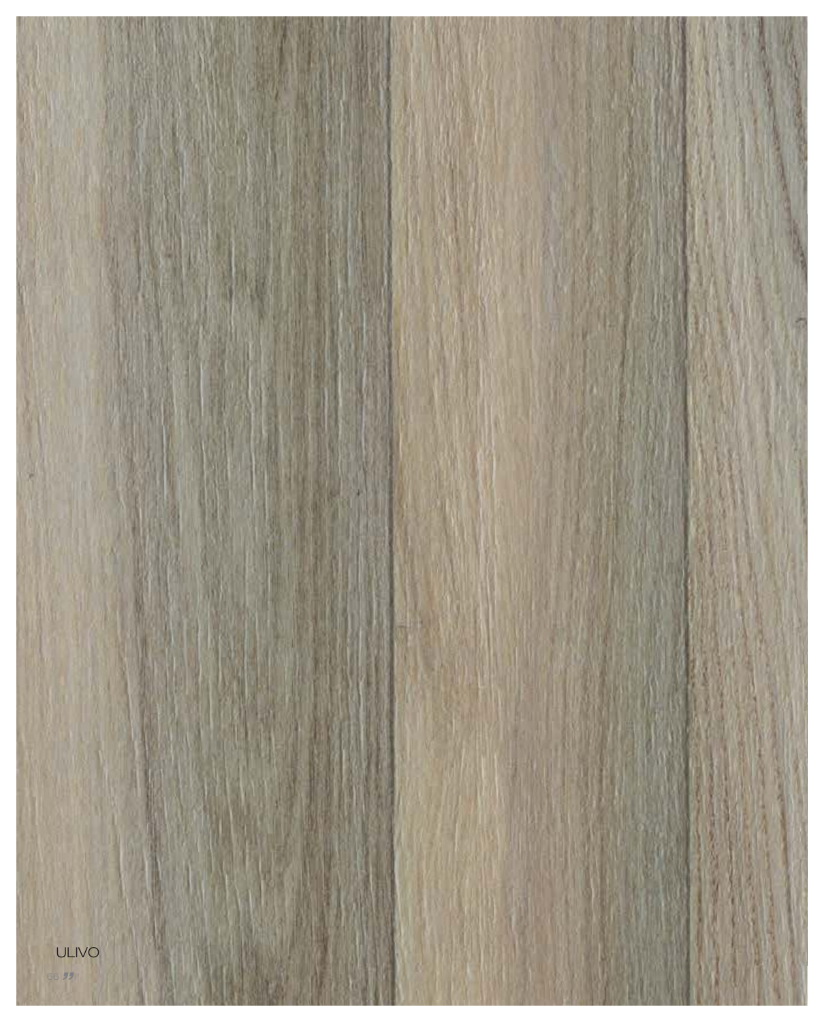![](_page_7_Picture_0.jpeg)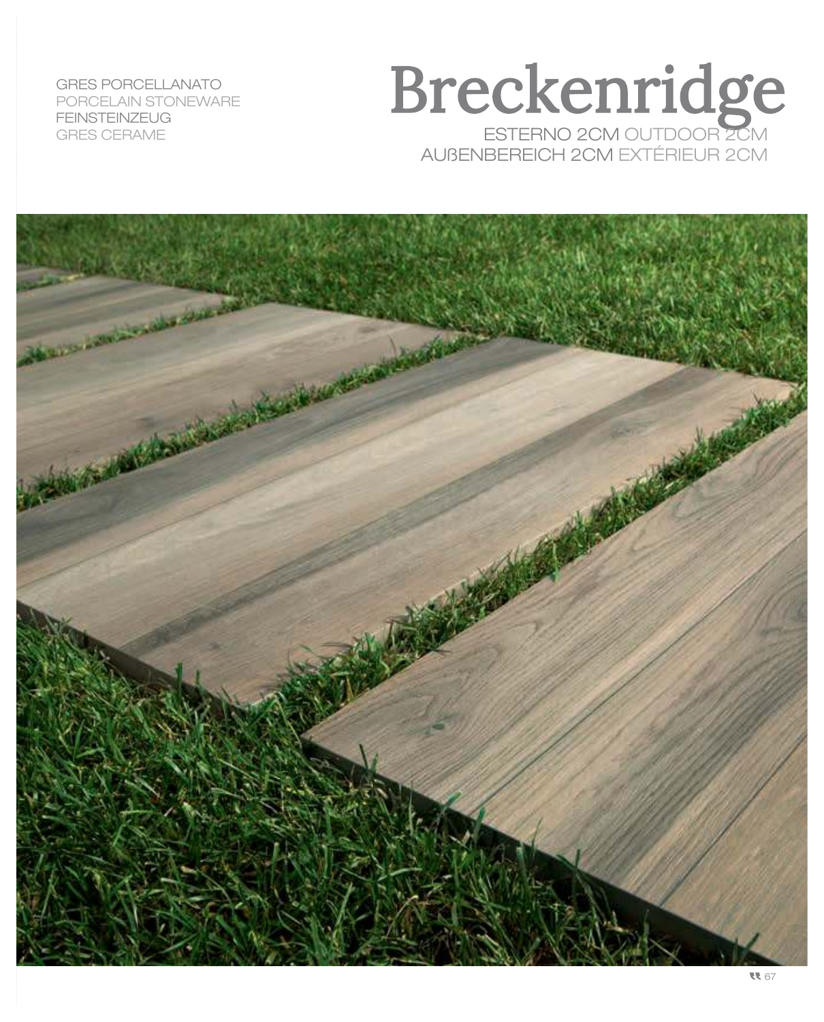GRES PORCELLANATO PORCELAIN STONEWARE FEINSTEINZEUG GRES CERAME

### Breckenridge ESTERNO 2CM OUTDOOR 2CM AUßENBEREICH 2CM EXTÉRIEUR 2CM

![](_page_8_Picture_2.jpeg)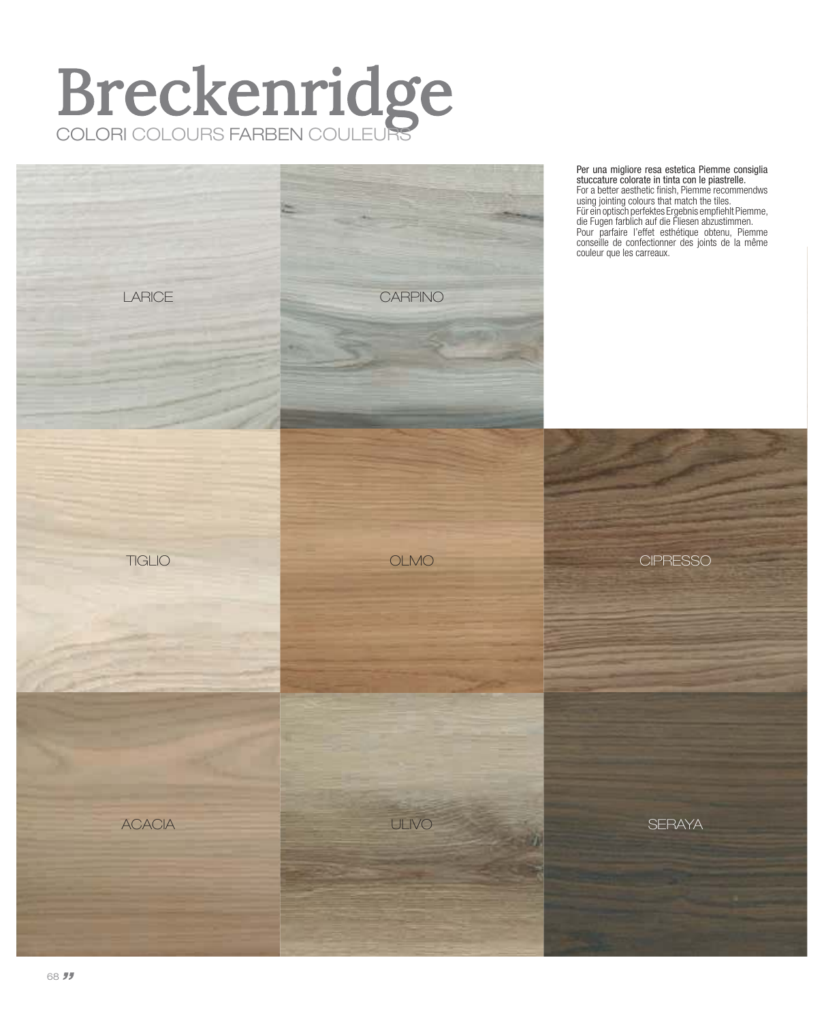## Breckenridge COLORI COLOURS FARBEN COULEURS

![](_page_9_Picture_1.jpeg)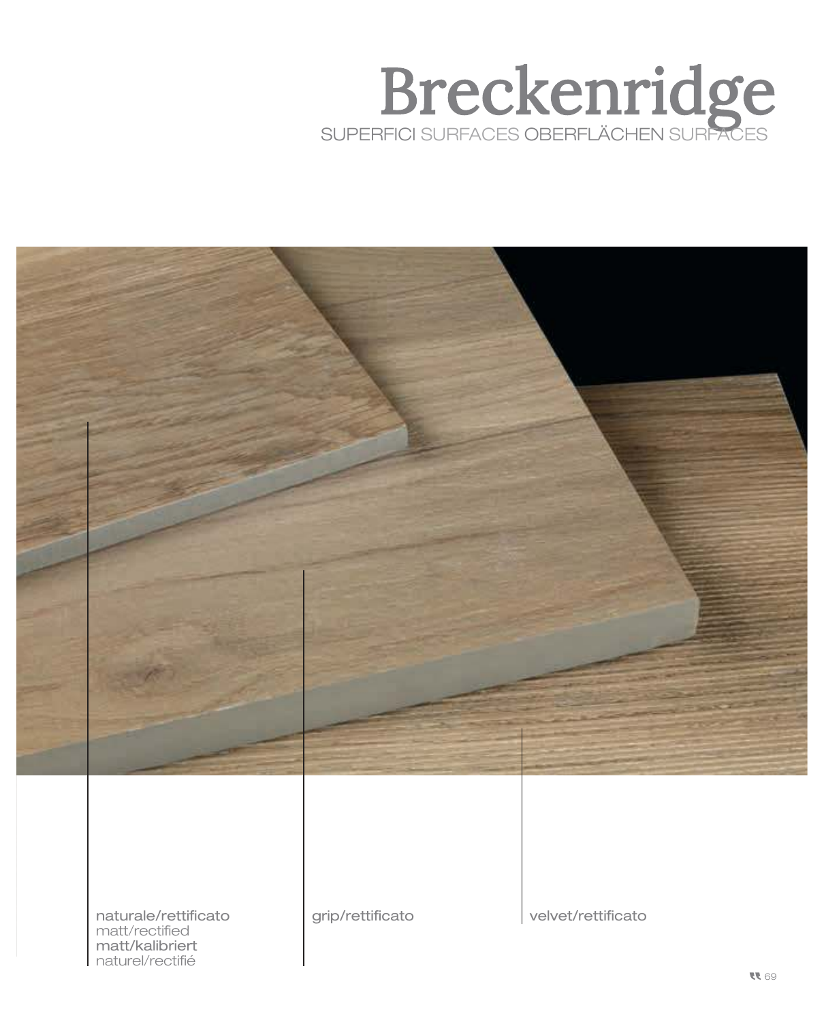## Breckenridge SUPERFICI SURFACES OBERFLÄCHEN SURFACES

![](_page_10_Picture_1.jpeg)

naturale/rettificato matt/rectified matt/kalibriert naturel/rectifié

grip/rettificato velvet/rettificato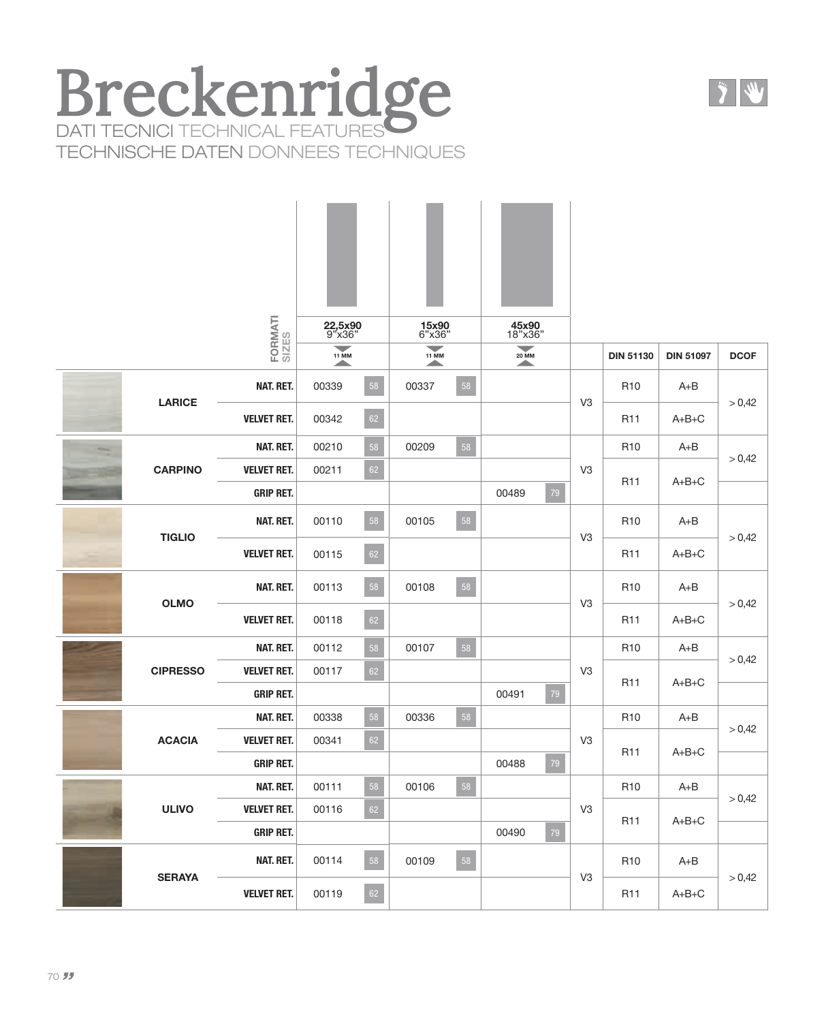#### Breckenridge DATI TECNICI TECHNICAL FEATURES TECHNISCHE DATEN DONNEES TECHNIQUES

|  |                 | FORMATI<br>SIZES   | 22,5x90<br>9"x36"<br>$\overline{\phantom{0}}$ |            | 15x90<br>6"x36"<br>$\overline{\phantom{a}}$ |    | 45x90<br>18"x36"<br>$\overline{\phantom{a}}$ |                |                  |                  |             |
|--|-----------------|--------------------|-----------------------------------------------|------------|---------------------------------------------|----|----------------------------------------------|----------------|------------------|------------------|-------------|
|  |                 |                    | <b>11 MM</b><br>▲                             |            | <b>11 MM</b><br>$\blacktriangle$            |    | <b>20 MM</b><br>$\blacktriangle$             |                | <b>DIN 51130</b> | <b>DIN 51097</b> | <b>DCOF</b> |
|  | <b>LARICE</b>   | NAT. RET.          | 00339                                         | 58         | 00337                                       | 58 |                                              | V <sub>3</sub> | R <sub>10</sub>  | $A + B$          | > 0,42      |
|  |                 | <b>VELVET RET.</b> | 00342                                         | $62\,$     |                                             |    |                                              |                | R <sub>11</sub>  | $A+B+C$          |             |
|  |                 | NAT. RET.          | 00210                                         | ${\bf 58}$ | 00209                                       | 58 |                                              |                | R <sub>10</sub>  | $A + B$          | > 0,42      |
|  | <b>CARPINO</b>  | <b>VELVET RET.</b> | 00211                                         | $62\,$     |                                             |    |                                              | V <sub>3</sub> | R <sub>11</sub>  | $A+B+C$          |             |
|  |                 | <b>GRIP RET.</b>   |                                               |            |                                             |    | 00489                                        | $79\,$         |                  |                  |             |
|  | <b>TIGLIO</b>   | NAT. RET.          | 00110                                         | 58         | 00105                                       | 58 |                                              | V <sub>3</sub> | R <sub>10</sub>  | $A + B$          | > 0,42      |
|  |                 | <b>VELVET RET.</b> | 00115                                         | 62         |                                             |    |                                              |                | R <sub>11</sub>  | $A+B+C$          |             |
|  | <b>OLMO</b>     | NAT. RET.          | 00113                                         | 58         | 00108                                       | 58 |                                              |                | R <sub>10</sub>  | $A + B$          | > 0,42      |
|  |                 | <b>VELVET RET.</b> | 00118                                         | 62         |                                             |    |                                              | V <sub>3</sub> | R <sub>11</sub>  | $A+B+C$          |             |
|  | <b>CIPRESSO</b> | NAT. RET.          | 00112                                         | 58         | 00107                                       | 58 |                                              |                | R <sub>10</sub>  | $A + B$          | > 0,42      |
|  |                 | <b>VELVET RET.</b> | 00117                                         | 62         |                                             |    |                                              | V <sub>3</sub> | R <sub>11</sub>  | $A+B+C$          |             |
|  |                 | <b>GRIP RET.</b>   |                                               |            |                                             |    | 00491                                        | 79             |                  |                  |             |
|  |                 | NAT. RET.          | 00338                                         | 58         | 00336                                       | 58 |                                              |                | R <sub>10</sub>  | $A+B$            | > 0,42      |
|  | <b>ACACIA</b>   | <b>VELVET RET.</b> | 00341                                         | 62         |                                             |    |                                              | V <sub>3</sub> | R <sub>11</sub>  | $A+B+C$          |             |
|  |                 | <b>GRIP RET.</b>   |                                               |            |                                             |    | 00488                                        | 79             |                  |                  |             |
|  | <b>ULIVO</b>    | NAT. RET.          | 00111                                         | 58         | 00106                                       | 58 |                                              |                | R <sub>10</sub>  | $A + B$          | > 0,42      |
|  |                 | <b>VELVET RET.</b> | 00116                                         | $62\,$     |                                             |    |                                              | V <sub>3</sub> | R <sub>11</sub>  | $A+B+C$          |             |
|  |                 | <b>GRIP RET.</b>   |                                               |            |                                             |    | 00490                                        | 79             |                  |                  |             |
|  | <b>SERAYA</b>   | NAT. RET.          | 00114                                         | 58         | 00109                                       | 58 |                                              | V <sub>3</sub> | R <sub>10</sub>  | $A + B$          | > 0,42      |
|  |                 | <b>VELVET RET.</b> | 00119                                         | 62         |                                             |    |                                              |                | R <sub>11</sub>  | $A+B+C$          |             |

 $\frac{1}{2}$